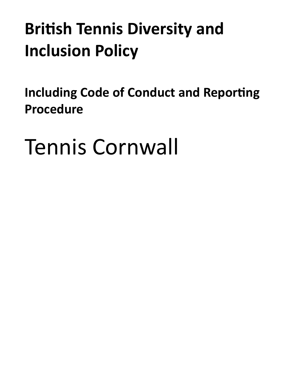# **British Tennis Diversity and Inclusion Policy**

<span id="page-0-0"></span>**Including Code of Conduct and Reporting Procedure** 

```
Tennis Cornwall
```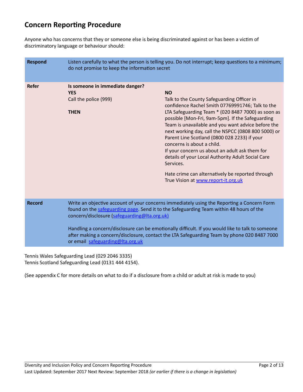# **Concern Reporting Procedure**

Anyone who has concerns that they or someone else is being discriminated against or has been a victim of discriminatory language or behaviour should:

| <b>Respond</b> | Listen carefully to what the person is telling you. Do not interrupt; keep questions to a minimum;<br>do not promise to keep the information secret                                                                                                                                                                                                                                                                                                                          |                                                                                                                                                                                                                                                                                                                                                                                                                                                                                                                                                                                                                                 |
|----------------|------------------------------------------------------------------------------------------------------------------------------------------------------------------------------------------------------------------------------------------------------------------------------------------------------------------------------------------------------------------------------------------------------------------------------------------------------------------------------|---------------------------------------------------------------------------------------------------------------------------------------------------------------------------------------------------------------------------------------------------------------------------------------------------------------------------------------------------------------------------------------------------------------------------------------------------------------------------------------------------------------------------------------------------------------------------------------------------------------------------------|
| <b>Refer</b>   | Is someone in immediate danger?<br><b>YES</b><br>Call the police (999)<br><b>THEN</b>                                                                                                                                                                                                                                                                                                                                                                                        | <b>NO</b><br>Talk to the County Safeguarding Officer in<br>confidence Rachel Smith 07769991746; Talk to the<br>LTA Safeguarding Team * (020 8487 7000) as soon as<br>possible [Mon-Fri, 9am-5pm]. If the Safeguarding<br>Team is unavailable and you want advice before the<br>next working day, call the NSPCC (0808 800 5000) or<br>Parent Line Scotland (0800 028 2233) if your<br>concerns is about a child.<br>If your concern us about an adult ask them for<br>details of your Local Authority Adult Social Care<br>Services.<br>Hate crime can alternatively be reported through<br>True Vision at www.report-it.org.uk |
| <b>Record</b>  | Write an objective account of your concerns immediately using the Reporting a Concern Form<br>found on the safeguarding page. Send it to the Safeguarding Team within 48 hours of the<br>concern/disclosure (safeguarding@Ita.org.uk)<br>Handling a concern/disclosure can be emotionally difficult. If you would like to talk to someone<br>after making a concern/disclosure, contact the LTA Safeguarding Team by phone 020 8487 7000<br>or email safeguarding@lta.org.uk |                                                                                                                                                                                                                                                                                                                                                                                                                                                                                                                                                                                                                                 |

Tennis Wales Safeguarding Lead (029 2046 3335) Tennis Scotland Safeguarding Lead (0131 444 4154).

(See appendix C for more details on what to do if a disclosure from a child or adult at risk is made to you)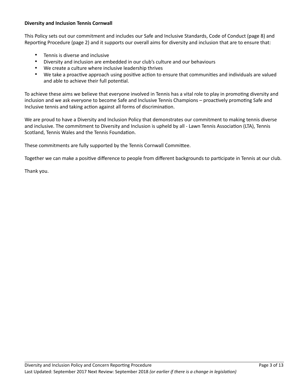# **Diversity and Inclusion Tennis Cornwall**

This Policy sets out our commitment and includes our Safe and Inclusive Standards, Code of Conduct (page 8) and Reporting Procedure (page 2) and it supports our overall aims for diversity and inclusion that are to ensure that:

- Tennis is diverse and inclusive
- Diversity and inclusion are embedded in our club's culture and our behaviours
- We create a culture where inclusive leadership thrives
- We take a proactive approach using positive action to ensure that communities and individuals are valued and able to achieve their full potential.

To achieve these aims we believe that everyone involved in Tennis has a vital role to play in promoting diversity and inclusion and we ask everyone to become Safe and Inclusive Tennis Champions – proactively promoting Safe and Inclusive tennis and taking action against all forms of discrimination.

We are proud to have a Diversity and Inclusion Policy that demonstrates our commitment to making tennis diverse and inclusive. The commitment to Diversity and Inclusion is upheld by all - Lawn Tennis Association (LTA), Tennis Scotland, Tennis Wales and the Tennis Foundation.

These commitments are fully supported by the Tennis Cornwall Committee.

Together we can make a positive difference to people from different backgrounds to participate in Tennis at our club.

Thank you.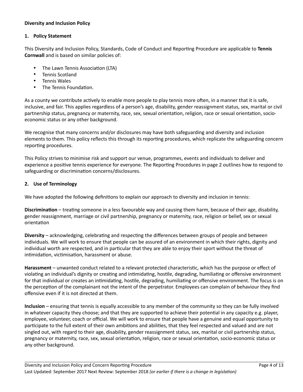# **Diversity and Inclusion Policy**

#### **1. Policy Statement**

This Diversity and Inclusion Policy, Standards, Code of Conduct and Reporting Procedure are applicable to Tennis **Cornwall** and is based on similar policies of:

- The Lawn Tennis Association (LTA)
- Tennis Scotland
- Tennis Wales
- The Tennis Foundation.

As a county we contribute actively to enable more people to play tennis more often, in a manner that it is safe, inclusive, and fair. This applies regardless of a person's age, disability, gender reassignment status, sex, marital or civil partnership status, pregnancy or maternity, race, sex, sexual orientation, religion, race or sexual orientation, socioeconomic status or any other background.

We recognise that many concerns and/or disclosures may have both safeguarding and diversity and inclusion elements to them. This policy reflects this through its reporting procedures, which replicate the safeguarding concern reporting procedures.

This Policy strives to minimise risk and support our venue, programmes, events and individuals to deliver and experience a positive tennis experience for everyone. The Reporting Procedures in page 2 outlines how to respond to safeguarding or discrimination concerns/disclosures.

# **2. Use of Terminology**

We have adopted the following definitions to explain our approach to diversity and inclusion in tennis:

**Discrimination** – treating someone in a less favourable way and causing them harm, because of their age, disability, gender reassignment, marriage or civil partnership, pregnancy or maternity, race, religion or belief, sex or sexual orientation

**Diversity** – acknowledging, celebrating and respecting the differences between groups of people and between individuals. We will work to ensure that people can be assured of an environment in which their rights, dignity and individual worth are respected, and in particular that they are able to enjoy their sport without the threat of intimidation, victimisation, harassment or abuse.

**Harassment** – unwanted conduct related to a relevant protected characteristic, which has the purpose or effect of violating an individual's dignity or creating and intimidating, hostile, degrading, humiliating or offensive environment for that individual or creates an intimidating, hostile, degrading, humiliating or offensive environment. The focus is on the perception of the complainant not the intent of the perpetrator. Employees can complain of behaviour they find offensive even if it is not directed at them.

**Inclusion** – ensuring that tennis is equally accessible to any member of the community so they can be fully involved in whatever capacity they choose; and that they are supported to achieve their potential in any capacity e.g. player, employee, volunteer, coach or official. We will work to ensure that people have a genuine and equal opportunity to participate to the full extent of their own ambitions and abilities, that they feel respected and valued and are not singled out, with regard to their age, disability, gender reassignment status, sex, marital or civil partnership status, pregnancy or maternity, race, sex, sexual orientation, religion, race or sexual orientation, socio-economic status or any other background.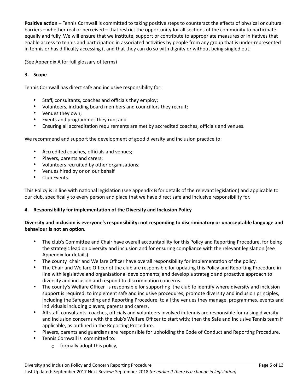**Positive action** – Tennis Cornwall is committed to taking positive steps to counteract the effects of physical or cultural barriers – whether real or perceived – that restrict the opportunity for all sections of the community to participate equally and fully. We will ensure that we institute, support or contribute to appropriate measures or initiatives that enable access to tennis and participation in associated activities by people from any group that is under-represented in tennis or has difficulty accessing it and that they can do so with dignity or without being singled out.

(See Appendix A for full glossary of terms)

# **3. Scope**

Tennis Cornwall has direct safe and inclusive responsibility for:

- Staff, consultants, coaches and officials they employ;
- Volunteers, including board members and councillors they recruit;
- Venues they own;
- Events and programmes they run; and
- Ensuring all accreditation requirements are met by accredited coaches, officials and venues.

We recommend and support the development of good diversity and inclusion practice to:

- Accredited coaches, officials and venues;
- Players, parents and carers;
- Volunteers recruited by other organisations;
- Venues hired by or on our behalf
- Club Events.

This Policy is in line with national legislation (see appendix B for details of the relevant legislation) and applicable to our club, specifically to every person and place that we have direct safe and inclusive responsibility for.

#### **4.** Responsibility for implementation of the Diversity and Inclusion Policy

# **Diversity and inclusion is everyone's responsibility: not responding to discriminatory or unacceptable language and behaviour is not an option.**

- The club's Committee and Chair have overall accountability for this Policy and Reporting Procedure, for being the strategic lead on diversity and inclusion and for ensuring compliance with the relevant legislation (see Appendix for details).
- The county chair and Welfare Officer have overall responsibility for implementation of the policy.
- The Chair and Welfare Officer of the club are responsible for updating this Policy and Reporting Procedure in line with legislative and organisational developments; and develop a strategic and proactive approach to diversity and inclusion and respond to discrimination concerns.
- The county's Welfare Officer is responsible for supporting the club to identify where diversity and inclusion support is required; to implement safe and inclusive procedures; promote diversity and inclusion principles, including the Safeguarding and Reporting Procedure, to all the venues they manage, programmes, events and individuals including players, parents and carers.
- All staff, consultants, coaches, officials and volunteers involved in tennis are responsible for raising diversity and inclusion concerns with the club's Welfare Officer to start with; then the Safe and Inclusive Tennis team if applicable, as outlined in the Reporting Procedure.
- Players, parents and guardians are responsible for upholding the Code of Conduct and Reporting Procedure.
- Tennis Cornwall is committed to:
	- $\circ$  formally adopt this policy,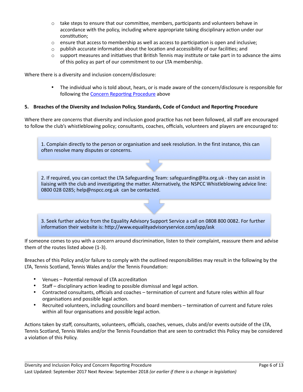- $\circ$  take steps to ensure that our committee, members, participants and volunteers behave in accordance with the policy, including where appropriate taking disciplinary action under our constitution:
- $\circ$  ensure that access to membership as well as access to participation is open and inclusive;
- $\circ$  publish accurate information about the location and accessibility of our facilities; and
- $\circ$  support measures and initiatives that British Tennis may institute or take part in to advance the aims of this policy as part of our commitment to our LTA membership.

Where there is a diversity and inclusion concern/disclosure:

• The individual who is told about, hears, or is made aware of the concern/disclosure is responsible for following the Concern Reporting Procedure above

#### **5.** Breaches of the Diversity and Inclusion Policy, Standards, Code of Conduct and Reporting Procedure

Where there are concerns that diversity and inclusion good practice has not been followed, all staff are encouraged to follow the club's whistleblowing policy; consultants, coaches, officials, volunteers and players are encouraged to:

1. Complain directly to the person or organisation and seek resolution. In the first instance, this can often resolve many disputes or concerns.

2. If required, you can contact the LTA Safeguarding Team: safeguarding@lta.org.uk - they can assist in liaising with the club and investigating the matter. Alternatively, the NSPCC Whistleblowing advice line: 0800 028 0285; help@nspcc.org.uk can be contacted.

3. Seek further advice from the Equality Advisory Support Service a call on 0808 800 0082. For further information their website is: http://www.equalityadvisoryservice.com/app/ask

If someone comes to you with a concern around discrimination, listen to their complaint, reassure them and advise them of the routes listed above (1-3).

Breaches of this Policy and/or failure to comply with the outlined responsibilities may result in the following by the LTA, Tennis Scotland, Tennis Wales and/or the Tennis Foundation:

- Venues Potential removal of LTA accreditation
- Staff disciplinary action leading to possible dismissal and legal action.
- Contracted consultants, officials and coaches termination of current and future roles within all four organisations and possible legal action.
- Recruited volunteers, including councillors and board members termination of current and future roles within all four organisations and possible legal action.

Actions taken by staff, consultants, volunteers, officials, coaches, venues, clubs and/or events outside of the LTA, Tennis Scotland, Tennis Wales and/or the Tennis Foundation that are seen to contradict this Policy may be considered a violation of this Policy.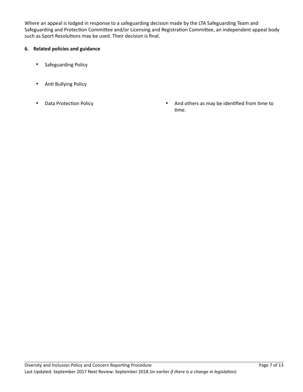Where an appeal is lodged in response to a safeguarding decision made by the LTA Safeguarding Team and Safeguarding and Protection Committee and/or Licensing and Registration Committee, an independent appeal body such as Sport Resolutions may be used. Their decision is final.

# **6. Related policies and guidance**

- Safeguarding Policy
- Anti Bullying Policy
- 
- Data Protection Policy  **And others as may be identified from time to** time.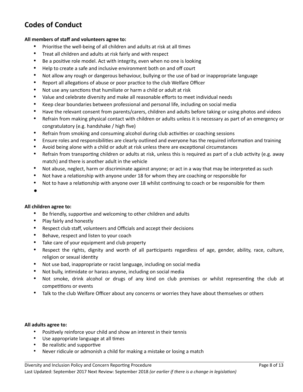# **Codes of Conduct**

#### **All members of staff and volunteers agree to:**

- Prioritise the well-being of all children and adults at risk at all times
- Treat all children and adults at risk fairly and with respect
- Be a positive role model. Act with integrity, even when no one is looking
- Help to create a safe and inclusive environment both on and off court
- Not allow any rough or dangerous behaviour, bullying or the use of bad or inappropriate language
- Report all allegations of abuse or poor practice to the club Welfare Officer
- Not use any sanctions that humiliate or harm a child or adult at risk
- Value and celebrate diversity and make all reasonable efforts to meet individual needs
- Keep clear boundaries between professional and personal life, including on social media
- Have the relevant consent from parents/carers, children and adults before taking or using photos and videos
- Refrain from making physical contact with children or adults unless it is necessary as part of an emergency or congratulatory (e.g. handshake / high five)
- Refrain from smoking and consuming alcohol during club activities or coaching sessions
- Ensure roles and responsibilities are clearly outlined and everyone has the required information and training
- Avoid being alone with a child or adult at risk unless there are exceptional circumstances
- Refrain from transporting children or adults at risk, unless this is required as part of a club activity (e.g. away match) and there is another adult in the vehicle
- Not abuse, neglect, harm or discriminate against anyone; or act in a way that may be interpreted as such
- Not have a relationship with anyone under 18 for whom they are coaching or responsible for
- Not to have a relationship with anyone over 18 whilst continuing to coach or be responsible for them
- •

#### **All children agree to:**

- Be friendly, supportive and welcoming to other children and adults
- Play fairly and honestly
- Respect club staff, volunteers and Officials and accept their decisions
- Behave, respect and listen to your coach
- Take care of your equipment and club property
- Respect the rights, dignity and worth of all participants regardless of age, gender, ability, race, culture, religion or sexual identity
- Not use bad, inappropriate or racist language, including on social media
- Not bully, intimidate or harass anyone, including on social media
- Not smoke, drink alcohol or drugs of any kind on club premises or whilst representing the club at competitions or events
- Talk to the club Welfare Officer about any concerns or worries they have about themselves or others

#### **All adults agree to:**

- Positively reinforce your child and show an interest in their tennis
- Use appropriate language at all times
- Be realistic and supportive
- Never ridicule or admonish a child for making a mistake or losing a match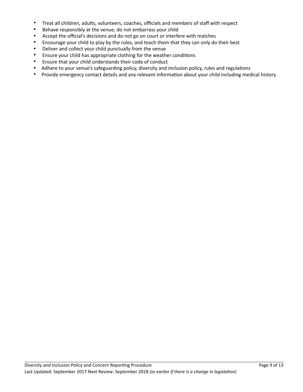- Treat all children, adults, volunteers, coaches, officials and members of staff with respect
- Behave responsibly at the venue; do not embarrass your child
- Accept the official's decisions and do not go on court or interfere with matches
- Encourage your child to play by the rules, and teach them that they can only do their best
- Deliver and collect your child punctually from the venue
- Ensure your child has appropriate clothing for the weather conditions
- Ensure that your child understands their code of conduct
- Adhere to your venue's safeguarding policy, diversity and inclusion policy, rules and regulations
- Provide emergency contact details and any relevant information about your child including medical history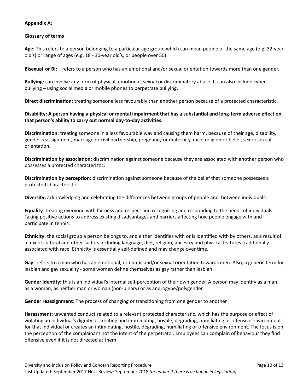#### **Appendix A:**

#### **Glossary of terms**

Age: This refers to a person belonging to a particular age group, which can mean people of the same age (e.g. 32-year old's) or range of ages (e.g. 18 - 30-year old's, or people over 50).

**Bisexual or Bi:** – refers to a person who has an emotional and/or sexual orientation towards more than one gender.

Bullying: can involve any form of physical, emotional, sexual or discriminatory abuse. It can also include cyberbullying – using social media or mobile phones to perpetrate bullying.

**Direct discrimination:** treating someone less favourably than another person because of a protected characteristic.

## Disability: A person having a physical or mental impairment that has a substantial and long-term adverse effect on that person's ability to carry out normal day-to-day activities.

**Discrimination:** treating someone in a less favourable way and causing them harm, because of their age, disability, gender reassignment, marriage or civil partnership, pregnancy or maternity, race, religion or belief, sex or sexual orientation.

**Discrimination by association:** discrimination against someone because they are associated with another person who possesses a protected characteristic.

**Discrimination by perception:** discrimination against someone because of the belief that someone possesses a protected characteristic.

**Diversity:** acknowledging and celebrating the differences between groups of people and between individuals.

**Equality**: treating everyone with fairness and respect and recognising and responding to the needs of individuals. Taking positive actions to address existing disadvantages and barriers affecting how people engage with and participate in tennis.

**Ethnicity**: the social group a person belongs to, and either identifies with or is identified with by others, as a result of a mix of cultural and other factors including language, diet, religion, ancestry and physical features traditionally associated with race. Ethnicity is essentially self-defined and may change over time.

**Gay**: refers to a man who has an emotional, romantic and/or sexual orientation towards men. Also, a generic term for lesbian and gay sexuality - some women define themselves as gay rather than lesbian.

**Gender identity:** this is an individual's internal self-perception of their own gender. A person may identify as a man, as a woman, as neither man or woman (non-binary) or as androgyne/polygender.

**Gender reassignment**: The process of changing or transitioning from one gender to another.

**Harassment:** unwanted conduct related to a relevant protected characteristic, which has the purpose or effect of violating an individual's dignity or creating and intimidating, hostile, degrading, humiliating or offensive environment for that individual or creates an intimidating, hostile, degrading, humiliating or offensive environment. The focus is on the perception of the complainant not the intent of the perpetrator. Employees can complain of behaviour they find offensive even if it is not directed at them.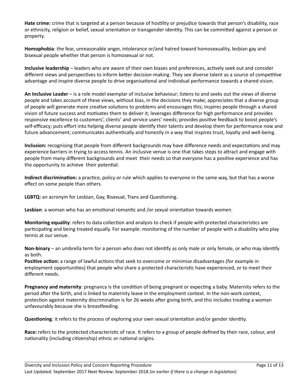**Hate crime:** crime that is targeted at a person because of hostility or prejudice towards that person's disability, race or ethnicity, religion or belief, sexual orientation or transgender identity. This can be committed against a person or property.

**Homophobia**: the fear, unreasonable anger, intolerance or/and hatred toward homosexuality, lesbian gay and bisexual people whether that person is homosexual or not.

**Inclusive leadership** – leaders who are aware of their own biases and preferences, actively seek out and consider different views and perspectives to inform better decision-making. They see diverse talent as a source of competitive advantage and inspire diverse people to drive organisational and individual performance towards a shared vision.

**An Inclusive Leader** – is a role model exemplar of inclusive behaviour; listens to and seeks out the views of diverse people and takes account of these views, without bias, in the decisions they make; appreciates that a diverse group of people will generate more creative solutions to problems and encourages this; inspires people through a shared vision of future success and motivates them to deliver it; leverages difference for high performance and provides responsive excellence to customers', clients' and service users' needs; provides positive feedback to boost people's self-efficacy; puts effort into helping diverse people identify their talents and develop them for performance now and future advancement; communicates authentically and honestly in a way that inspires trust, loyalty and well-being.

**Inclusion:** recognising that people from different backgrounds may have difference needs and expectations and may experience barriers in trying to access tennis. An inclusive venue is one that takes steps to attract and engage with people from many different backgrounds and meet their needs so that everyone has a positive experience and has the opportunity to achieve their potential.

**Indirect discrimination:** a practice, policy or rule which applies to everyone in the same way, but that has a worse effect on some people than others.

**LGBTQ:** an acronym for Lesbian, Gay, Bisexual, Trans and Questioning.

Lesbian: a woman who has an emotional romantic and /or sexual orientation towards women.

**Monitoring equality**: refers to data collection and analysis to check if people with protected characteristics are participating and being treated equally. For example: monitoring of the number of people with a disability who play tennis at our venue.

**Non-binary** – an umbrella term for a person who does not identify as only male or only female, or who may identify as both.

**Positive action:** a range of lawful actions that seek to overcome or minimise disadvantages (for example in employment opportunities) that people who share a protected characteristic have experienced, or to meet their different needs.

**Pregnancy and maternity**: pregnancy is the condition of being pregnant or expecting a baby. Maternity refers to the period after the birth, and is linked to maternity leave in the employment context. In the non-work context, protection against maternity discrimination is for 26 weeks after giving birth, and this includes treating a woman unfavourably because she is breastfeeding.

**Questioning**: it refers to the process of exploring your own sexual orientation and/or gender identity.

**Race:** refers to the protected characteristic of race. It refers to a group of people defined by their race, colour, and nationality (including citizenship) ethnic or national origins.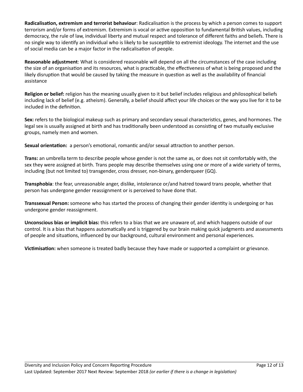**Radicalisation, extremism and terrorist behaviour**: Radicalisation is the process by which a person comes to support terrorism and/or forms of extremism. Extremism is vocal or active opposition to fundamental British values, including democracy, the rule of law, individual liberty and mutual respect and tolerance of different faiths and beliefs. There is no single way to identify an individual who is likely to be susceptible to extremist ideology. The internet and the use of social media can be a major factor in the radicalisation of people.

**Reasonable adjustment**: What is considered reasonable will depend on all the circumstances of the case including the size of an organisation and its resources, what is practicable, the effectiveness of what is being proposed and the likely disruption that would be caused by taking the measure in question as well as the availability of financial assistance

**Religion or belief:** religion has the meaning usually given to it but belief includes religious and philosophical beliefs including lack of belief (e.g. atheism). Generally, a belief should affect your life choices or the way you live for it to be included in the definition.

Sex: refers to the biological makeup such as primary and secondary sexual characteristics, genes, and hormones. The legal sex is usually assigned at birth and has traditionally been understood as consisting of two mutually exclusive groups, namely men and women.

**Sexual orientation:** a person's emotional, romantic and/or sexual attraction to another person.

**Trans:** an umbrella term to describe people whose gender is not the same as, or does not sit comfortably with, the sex they were assigned at birth. Trans people may describe themselves using one or more of a wide variety of terms, including (but not limited to) transgender, cross dresser, non-binary, genderqueer (GQ).

**Transphobia**: the fear, unreasonable anger, dislike, intolerance or/and hatred toward trans people, whether that person has undergone gender reassignment or is perceived to have done that.

**Transsexual Person:** someone who has started the process of changing their gender identity is undergoing or has undergone gender reassignment.

**Unconscious bias or implicit bias:** this refers to a bias that we are unaware of, and which happens outside of our control. It is a bias that happens automatically and is triggered by our brain making quick judgments and assessments of people and situations, influenced by our background, cultural environment and personal experiences.

**Victimisation:** when someone is treated badly because they have made or supported a complaint or grievance.